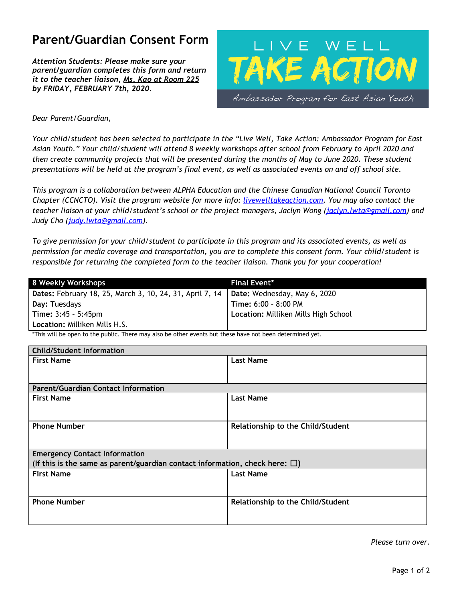# **Parent/Guardian Consent Form**

*Attention Students: Please make sure your parent/guardian completes this form and return it to the teacher liaison, Ms. Kao at Room 225 by FRIDAY, FEBRUARY 7th, 2020.*



*Dear Parent/Guardian,*

Your child/student has been selected to participate in the "Live Well, Take Action: Ambassador Program for East Asian Youth." Your child/student will attend 8 weekly workshops after school from February to April 2020 and then create community projects that will be presented during the months of May to June 2020. These student presentations will be held at the program's final event, as well as associated events on and off school site.

*This program is a collaboration between ALPHA Education and the Chinese Canadian National Council Toronto Chapter (CCNCTO). Visit the program website for more info: livewelltakeaction.com. You may also contact the teacher liaison at your child/student's school or the project managers, Jaclyn Wong ([jaclyn.lwta@gmail.com\)](mailto:jaclyn.lwta@gmail.com) and Judy Cho ([judy.lwta@gmail.com\)](mailto:judy.lwta@gmail.com).*

To give permission for your child/student to participate in this program and its associated events, as well as *permission for media coverage and transportation, you are to complete this consent form. Your child/student is responsible for returning the completed form to the teacher liaison. Thank you for your cooperation!*

| 8 Weekly Workshops                                       | Final Event*                         |
|----------------------------------------------------------|--------------------------------------|
| Dates: February 18, 25, March 3, 10, 24, 31, April 7, 14 | Date: Wednesday, May 6, 2020         |
| Day: Tuesdays                                            | Time: 6:00 - 8:00 PM                 |
| <b>Time: <math>3:45 - 5:45</math>pm</b>                  | Location: Milliken Mills High School |
| <b>Location: Milliken Mills H.S.</b>                     |                                      |

\*This will be open to the public. There may also be other events but these have not been determined yet.

| <b>Child/Student Information</b>                                                     |                                   |  |
|--------------------------------------------------------------------------------------|-----------------------------------|--|
| <b>First Name</b>                                                                    | <b>Last Name</b>                  |  |
|                                                                                      |                                   |  |
|                                                                                      |                                   |  |
| <b>Parent/Guardian Contact Information</b>                                           |                                   |  |
| <b>First Name</b>                                                                    | <b>Last Name</b>                  |  |
|                                                                                      |                                   |  |
|                                                                                      |                                   |  |
| <b>Phone Number</b>                                                                  | Relationship to the Child/Student |  |
|                                                                                      |                                   |  |
|                                                                                      |                                   |  |
| <b>Emergency Contact Information</b>                                                 |                                   |  |
| (If this is the same as parent/guardian contact information, check here: $\square$ ) |                                   |  |
| <b>First Name</b>                                                                    | <b>Last Name</b>                  |  |
|                                                                                      |                                   |  |
|                                                                                      |                                   |  |
| <b>Phone Number</b>                                                                  | Relationship to the Child/Student |  |
|                                                                                      |                                   |  |
|                                                                                      |                                   |  |
|                                                                                      |                                   |  |

*Please turn over.*